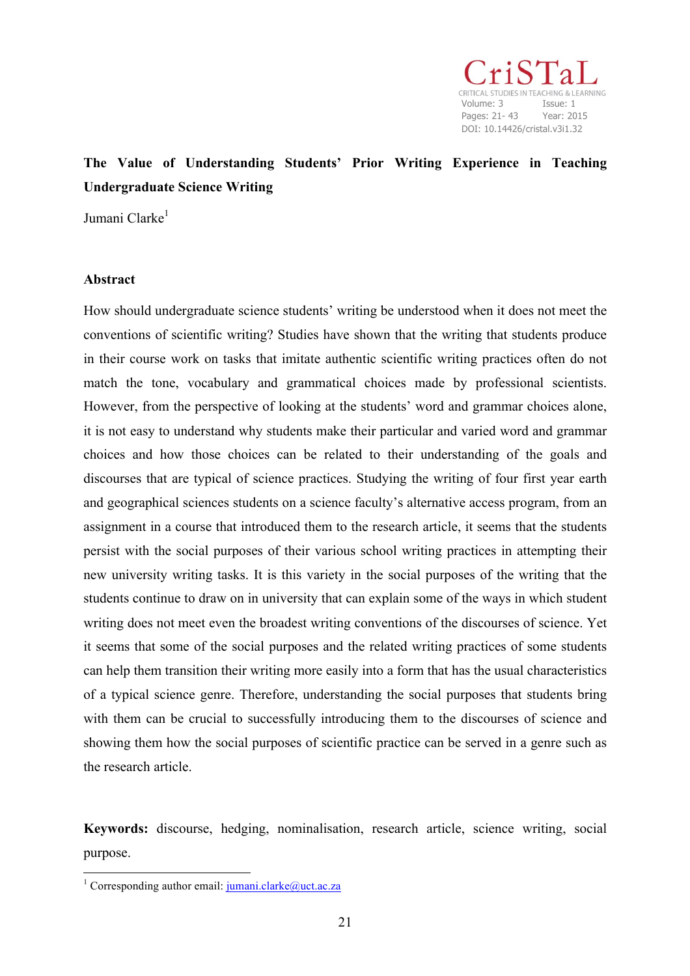Volume: 3 Issue: 1 Pages: 21- 43 Year: 2015 DOI: 10.14426/cristal.v3i1.32

# **The Value of Understanding Students' Prior Writing Experience in Teaching Undergraduate Science Writing**

Jumani Clarke<sup>1</sup>

## **Abstract**

How should undergraduate science students' writing be understood when it does not meet the conventions of scientific writing? Studies have shown that the writing that students produce in their course work on tasks that imitate authentic scientific writing practices often do not match the tone, vocabulary and grammatical choices made by professional scientists. However, from the perspective of looking at the students' word and grammar choices alone, it is not easy to understand why students make their particular and varied word and grammar choices and how those choices can be related to their understanding of the goals and discourses that are typical of science practices. Studying the writing of four first year earth and geographical sciences students on a science faculty's alternative access program, from an assignment in a course that introduced them to the research article, it seems that the students persist with the social purposes of their various school writing practices in attempting their new university writing tasks. It is this variety in the social purposes of the writing that the students continue to draw on in university that can explain some of the ways in which student writing does not meet even the broadest writing conventions of the discourses of science. Yet it seems that some of the social purposes and the related writing practices of some students can help them transition their writing more easily into a form that has the usual characteristics of a typical science genre. Therefore, understanding the social purposes that students bring with them can be crucial to successfully introducing them to the discourses of science and showing them how the social purposes of scientific practice can be served in a genre such as the research article.

**Keywords:** discourse, hedging, nominalisation, research article, science writing, social purpose.

<u> 1989 - Jan Samuel Barbara, político establecido de la provincia de la provincia de la provincia de la provinci</u>

<sup>&</sup>lt;sup>1</sup> Corresponding author email:  $j$ umani.clarke@uct.ac.za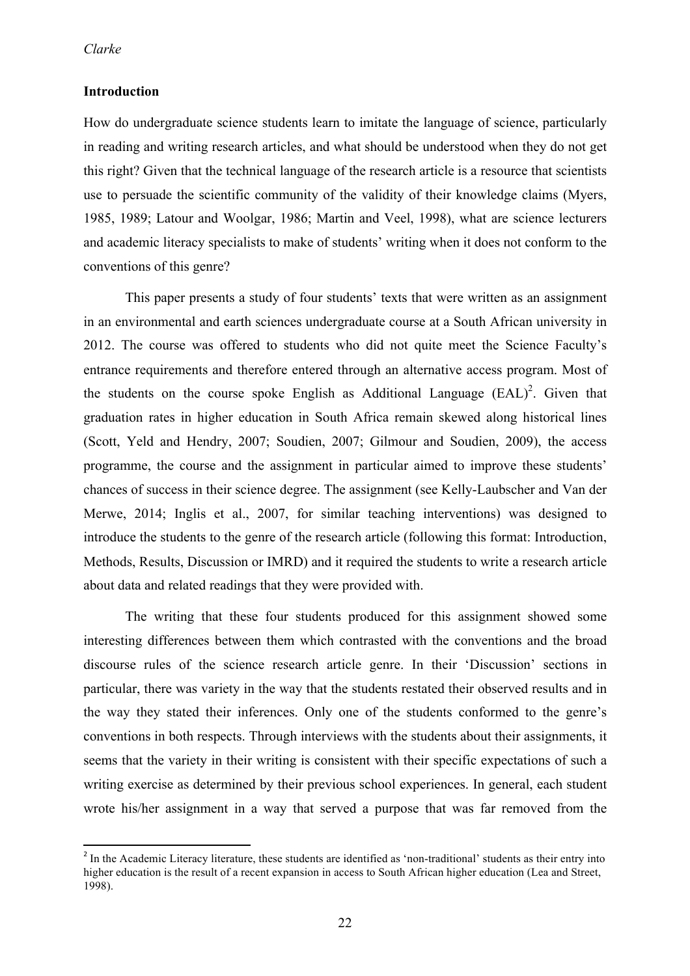## **Introduction**

How do undergraduate science students learn to imitate the language of science, particularly in reading and writing research articles, and what should be understood when they do not get this right? Given that the technical language of the research article is a resource that scientists use to persuade the scientific community of the validity of their knowledge claims (Myers, 1985, 1989; Latour and Woolgar, 1986; Martin and Veel, 1998), what are science lecturers and academic literacy specialists to make of students' writing when it does not conform to the conventions of this genre?

This paper presents a study of four students' texts that were written as an assignment in an environmental and earth sciences undergraduate course at a South African university in 2012. The course was offered to students who did not quite meet the Science Faculty's entrance requirements and therefore entered through an alternative access program. Most of the students on the course spoke English as Additional Language  $(EAL)^2$ . Given that graduation rates in higher education in South Africa remain skewed along historical lines (Scott, Yeld and Hendry, 2007; Soudien, 2007; Gilmour and Soudien, 2009), the access programme, the course and the assignment in particular aimed to improve these students' chances of success in their science degree. The assignment (see Kelly-Laubscher and Van der Merwe, 2014; Inglis et al., 2007, for similar teaching interventions) was designed to introduce the students to the genre of the research article (following this format: Introduction, Methods, Results, Discussion or IMRD) and it required the students to write a research article about data and related readings that they were provided with.

The writing that these four students produced for this assignment showed some interesting differences between them which contrasted with the conventions and the broad discourse rules of the science research article genre. In their 'Discussion' sections in particular, there was variety in the way that the students restated their observed results and in the way they stated their inferences. Only one of the students conformed to the genre's conventions in both respects. Through interviews with the students about their assignments, it seems that the variety in their writing is consistent with their specific expectations of such a writing exercise as determined by their previous school experiences. In general, each student wrote his/her assignment in a way that served a purpose that was far removed from the

<u> 1989 - Jan Samuel Barbara, político establecido de la provincia de la provincia de la provincia de la provinci</u>

<sup>&</sup>lt;sup>2</sup> In the Academic Literacy literature, these students are identified as 'non-traditional' students as their entry into higher education is the result of a recent expansion in access to South African higher education (Lea and Street, 1998).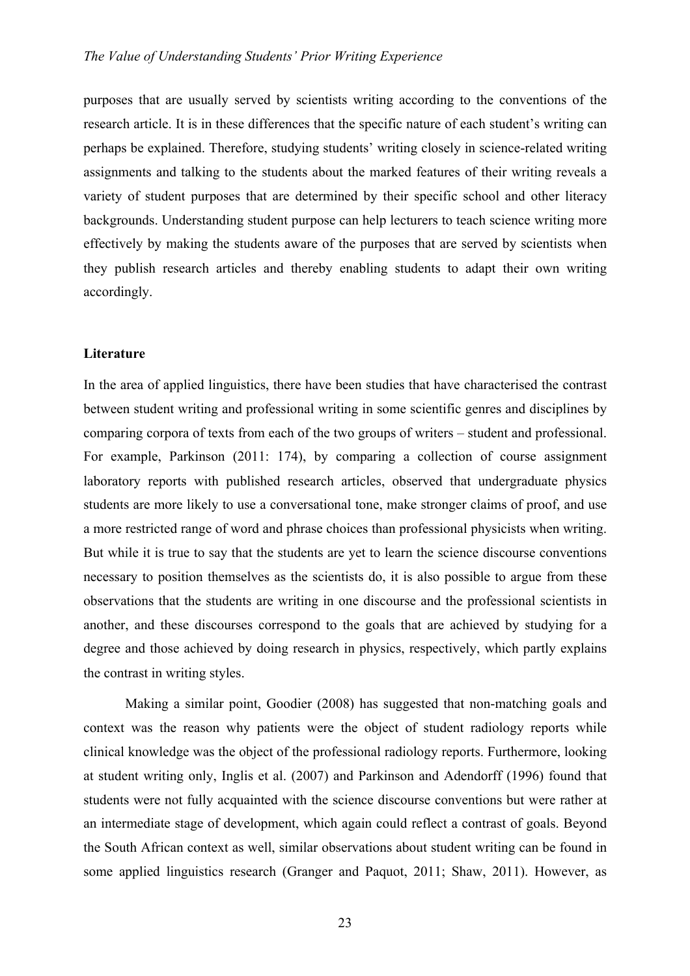purposes that are usually served by scientists writing according to the conventions of the research article. It is in these differences that the specific nature of each student's writing can perhaps be explained. Therefore, studying students' writing closely in science-related writing assignments and talking to the students about the marked features of their writing reveals a variety of student purposes that are determined by their specific school and other literacy backgrounds. Understanding student purpose can help lecturers to teach science writing more effectively by making the students aware of the purposes that are served by scientists when they publish research articles and thereby enabling students to adapt their own writing accordingly.

## **Literature**

In the area of applied linguistics, there have been studies that have characterised the contrast between student writing and professional writing in some scientific genres and disciplines by comparing corpora of texts from each of the two groups of writers – student and professional. For example, Parkinson (2011: 174), by comparing a collection of course assignment laboratory reports with published research articles, observed that undergraduate physics students are more likely to use a conversational tone, make stronger claims of proof, and use a more restricted range of word and phrase choices than professional physicists when writing. But while it is true to say that the students are yet to learn the science discourse conventions necessary to position themselves as the scientists do, it is also possible to argue from these observations that the students are writing in one discourse and the professional scientists in another, and these discourses correspond to the goals that are achieved by studying for a degree and those achieved by doing research in physics, respectively, which partly explains the contrast in writing styles.

Making a similar point, Goodier (2008) has suggested that non-matching goals and context was the reason why patients were the object of student radiology reports while clinical knowledge was the object of the professional radiology reports. Furthermore, looking at student writing only, Inglis et al. (2007) and Parkinson and Adendorff (1996) found that students were not fully acquainted with the science discourse conventions but were rather at an intermediate stage of development, which again could reflect a contrast of goals. Beyond the South African context as well, similar observations about student writing can be found in some applied linguistics research (Granger and Paquot, 2011; Shaw, 2011). However, as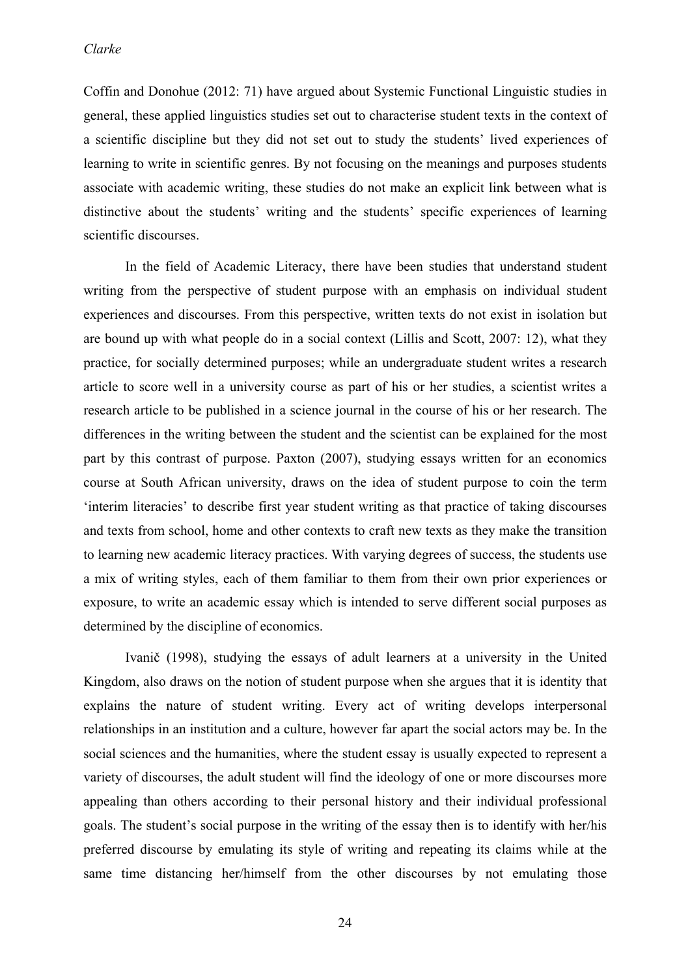Coffin and Donohue (2012: 71) have argued about Systemic Functional Linguistic studies in general, these applied linguistics studies set out to characterise student texts in the context of a scientific discipline but they did not set out to study the students' lived experiences of learning to write in scientific genres. By not focusing on the meanings and purposes students associate with academic writing, these studies do not make an explicit link between what is distinctive about the students' writing and the students' specific experiences of learning scientific discourses.

In the field of Academic Literacy, there have been studies that understand student writing from the perspective of student purpose with an emphasis on individual student experiences and discourses. From this perspective, written texts do not exist in isolation but are bound up with what people do in a social context (Lillis and Scott, 2007: 12), what they practice, for socially determined purposes; while an undergraduate student writes a research article to score well in a university course as part of his or her studies, a scientist writes a research article to be published in a science journal in the course of his or her research. The differences in the writing between the student and the scientist can be explained for the most part by this contrast of purpose. Paxton (2007), studying essays written for an economics course at South African university, draws on the idea of student purpose to coin the term 'interim literacies' to describe first year student writing as that practice of taking discourses and texts from school, home and other contexts to craft new texts as they make the transition to learning new academic literacy practices. With varying degrees of success, the students use a mix of writing styles, each of them familiar to them from their own prior experiences or exposure, to write an academic essay which is intended to serve different social purposes as determined by the discipline of economics.

Ivanič (1998), studying the essays of adult learners at a university in the United Kingdom, also draws on the notion of student purpose when she argues that it is identity that explains the nature of student writing. Every act of writing develops interpersonal relationships in an institution and a culture, however far apart the social actors may be. In the social sciences and the humanities, where the student essay is usually expected to represent a variety of discourses, the adult student will find the ideology of one or more discourses more appealing than others according to their personal history and their individual professional goals. The student's social purpose in the writing of the essay then is to identify with her/his preferred discourse by emulating its style of writing and repeating its claims while at the same time distancing her/himself from the other discourses by not emulating those

24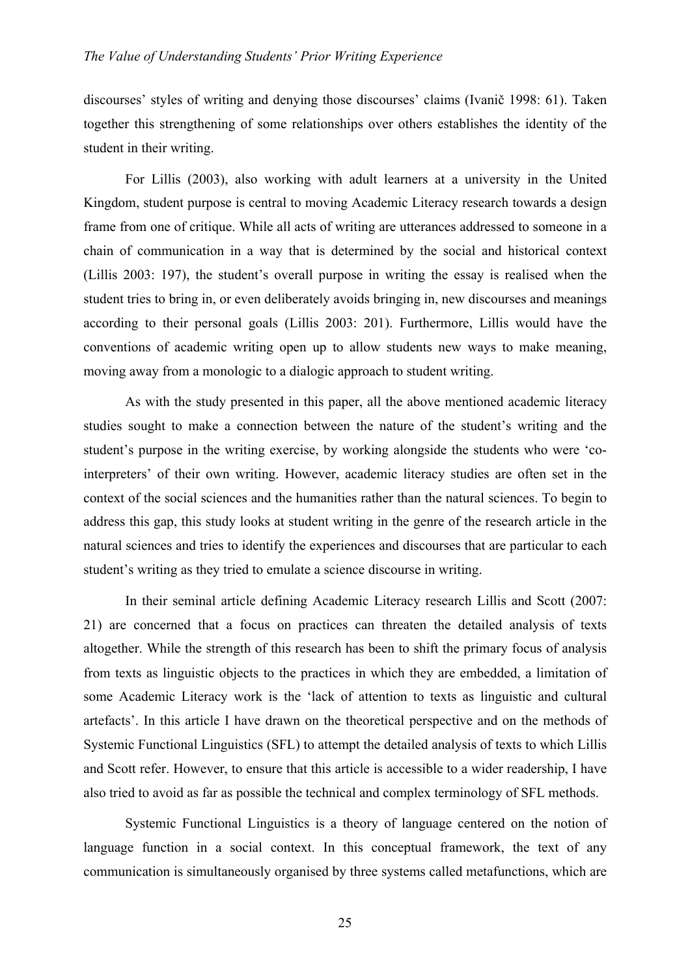discourses' styles of writing and denying those discourses' claims (Ivanič 1998: 61). Taken together this strengthening of some relationships over others establishes the identity of the student in their writing.

For Lillis (2003), also working with adult learners at a university in the United Kingdom, student purpose is central to moving Academic Literacy research towards a design frame from one of critique. While all acts of writing are utterances addressed to someone in a chain of communication in a way that is determined by the social and historical context (Lillis 2003: 197), the student's overall purpose in writing the essay is realised when the student tries to bring in, or even deliberately avoids bringing in, new discourses and meanings according to their personal goals (Lillis 2003: 201). Furthermore, Lillis would have the conventions of academic writing open up to allow students new ways to make meaning, moving away from a monologic to a dialogic approach to student writing.

As with the study presented in this paper, all the above mentioned academic literacy studies sought to make a connection between the nature of the student's writing and the student's purpose in the writing exercise, by working alongside the students who were 'cointerpreters' of their own writing. However, academic literacy studies are often set in the context of the social sciences and the humanities rather than the natural sciences. To begin to address this gap, this study looks at student writing in the genre of the research article in the natural sciences and tries to identify the experiences and discourses that are particular to each student's writing as they tried to emulate a science discourse in writing.

In their seminal article defining Academic Literacy research Lillis and Scott (2007: 21) are concerned that a focus on practices can threaten the detailed analysis of texts altogether. While the strength of this research has been to shift the primary focus of analysis from texts as linguistic objects to the practices in which they are embedded, a limitation of some Academic Literacy work is the 'lack of attention to texts as linguistic and cultural artefacts'. In this article I have drawn on the theoretical perspective and on the methods of Systemic Functional Linguistics (SFL) to attempt the detailed analysis of texts to which Lillis and Scott refer. However, to ensure that this article is accessible to a wider readership, I have also tried to avoid as far as possible the technical and complex terminology of SFL methods.

Systemic Functional Linguistics is a theory of language centered on the notion of language function in a social context. In this conceptual framework, the text of any communication is simultaneously organised by three systems called metafunctions, which are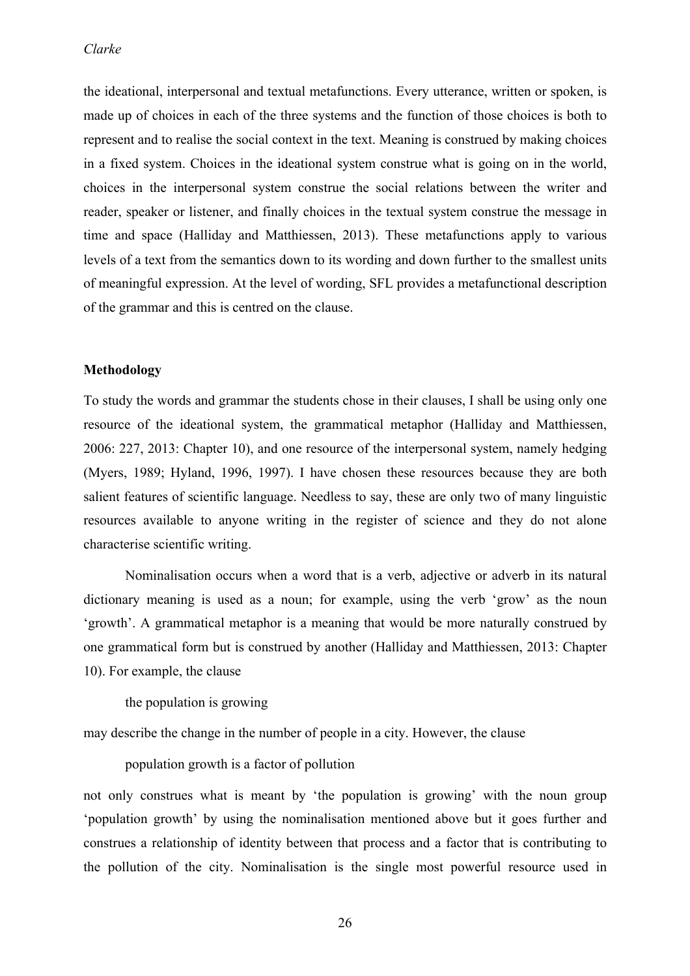the ideational, interpersonal and textual metafunctions. Every utterance, written or spoken, is made up of choices in each of the three systems and the function of those choices is both to represent and to realise the social context in the text. Meaning is construed by making choices in a fixed system. Choices in the ideational system construe what is going on in the world, choices in the interpersonal system construe the social relations between the writer and reader, speaker or listener, and finally choices in the textual system construe the message in time and space (Halliday and Matthiessen, 2013). These metafunctions apply to various levels of a text from the semantics down to its wording and down further to the smallest units of meaningful expression. At the level of wording, SFL provides a metafunctional description of the grammar and this is centred on the clause.

## **Methodology**

To study the words and grammar the students chose in their clauses, I shall be using only one resource of the ideational system, the grammatical metaphor (Halliday and Matthiessen, 2006: 227, 2013: Chapter 10), and one resource of the interpersonal system, namely hedging (Myers, 1989; Hyland, 1996, 1997). I have chosen these resources because they are both salient features of scientific language. Needless to say, these are only two of many linguistic resources available to anyone writing in the register of science and they do not alone characterise scientific writing.

Nominalisation occurs when a word that is a verb, adjective or adverb in its natural dictionary meaning is used as a noun; for example, using the verb 'grow' as the noun 'growth'. A grammatical metaphor is a meaning that would be more naturally construed by one grammatical form but is construed by another (Halliday and Matthiessen, 2013: Chapter 10). For example, the clause

the population is growing

may describe the change in the number of people in a city. However, the clause

population growth is a factor of pollution

not only construes what is meant by 'the population is growing' with the noun group 'population growth' by using the nominalisation mentioned above but it goes further and construes a relationship of identity between that process and a factor that is contributing to the pollution of the city. Nominalisation is the single most powerful resource used in

26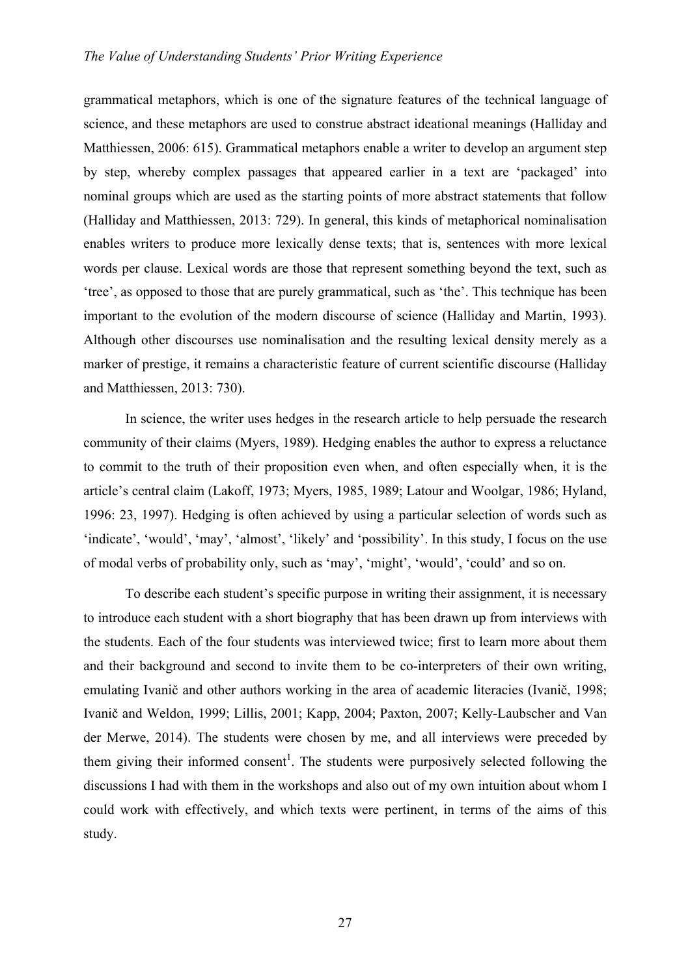grammatical metaphors, which is one of the signature features of the technical language of science, and these metaphors are used to construe abstract ideational meanings (Halliday and Matthiessen, 2006: 615). Grammatical metaphors enable a writer to develop an argument step by step, whereby complex passages that appeared earlier in a text are 'packaged' into nominal groups which are used as the starting points of more abstract statements that follow (Halliday and Matthiessen, 2013: 729). In general, this kinds of metaphorical nominalisation enables writers to produce more lexically dense texts; that is, sentences with more lexical words per clause. Lexical words are those that represent something beyond the text, such as 'tree', as opposed to those that are purely grammatical, such as 'the'. This technique has been important to the evolution of the modern discourse of science (Halliday and Martin, 1993). Although other discourses use nominalisation and the resulting lexical density merely as a marker of prestige, it remains a characteristic feature of current scientific discourse (Halliday and Matthiessen, 2013: 730).

In science, the writer uses hedges in the research article to help persuade the research community of their claims (Myers, 1989). Hedging enables the author to express a reluctance to commit to the truth of their proposition even when, and often especially when, it is the article's central claim (Lakoff, 1973; Myers, 1985, 1989; Latour and Woolgar, 1986; Hyland, 1996: 23, 1997). Hedging is often achieved by using a particular selection of words such as 'indicate', 'would', 'may', 'almost', 'likely' and 'possibility'. In this study, I focus on the use of modal verbs of probability only, such as 'may', 'might', 'would', 'could' and so on.

To describe each student's specific purpose in writing their assignment, it is necessary to introduce each student with a short biography that has been drawn up from interviews with the students. Each of the four students was interviewed twice; first to learn more about them and their background and second to invite them to be co-interpreters of their own writing, emulating Ivanič and other authors working in the area of academic literacies (Ivanič, 1998; Ivanič and Weldon, 1999; Lillis, 2001; Kapp, 2004; Paxton, 2007; Kelly-Laubscher and Van der Merwe, 2014). The students were chosen by me, and all interviews were preceded by them giving their informed consent<sup>1</sup>. The students were purposively selected following the discussions I had with them in the workshops and also out of my own intuition about whom I could work with effectively, and which texts were pertinent, in terms of the aims of this study.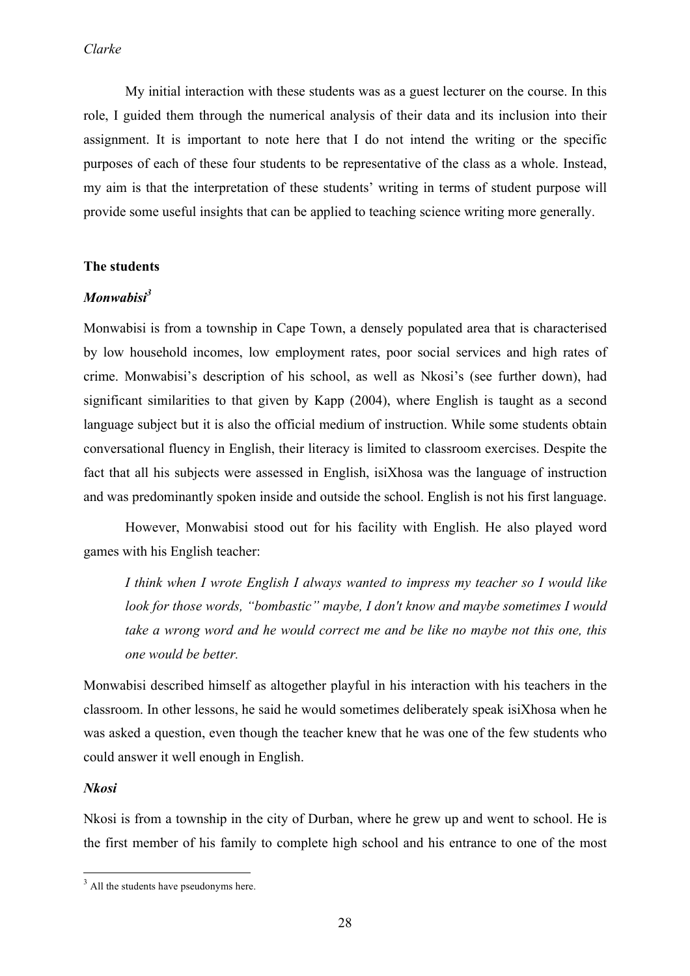My initial interaction with these students was as a guest lecturer on the course. In this role, I guided them through the numerical analysis of their data and its inclusion into their assignment. It is important to note here that I do not intend the writing or the specific purposes of each of these four students to be representative of the class as a whole. Instead, my aim is that the interpretation of these students' writing in terms of student purpose will provide some useful insights that can be applied to teaching science writing more generally.

## **The students**

# *Monwabisi<sup>3</sup>*

Monwabisi is from a township in Cape Town, a densely populated area that is characterised by low household incomes, low employment rates, poor social services and high rates of crime. Monwabisi's description of his school, as well as Nkosi's (see further down), had significant similarities to that given by Kapp (2004), where English is taught as a second language subject but it is also the official medium of instruction. While some students obtain conversational fluency in English, their literacy is limited to classroom exercises. Despite the fact that all his subjects were assessed in English, isiXhosa was the language of instruction and was predominantly spoken inside and outside the school. English is not his first language.

However, Monwabisi stood out for his facility with English. He also played word games with his English teacher:

*I think when I wrote English I always wanted to impress my teacher so I would like look for those words, "bombastic" maybe, I don't know and maybe sometimes I would take a wrong word and he would correct me and be like no maybe not this one, this one would be better.*

Monwabisi described himself as altogether playful in his interaction with his teachers in the classroom. In other lessons, he said he would sometimes deliberately speak isiXhosa when he was asked a question, even though the teacher knew that he was one of the few students who could answer it well enough in English.

#### *Nkosi*

Nkosi is from a township in the city of Durban, where he grew up and went to school. He is the first member of his family to complete high school and his entrance to one of the most

<sup>&</sup>lt;u> 1989 - Jan Samuel Barbara, político establecido de la provincia de la provincia de la provincia de la provinci</u>  $3$  All the students have pseudonyms here.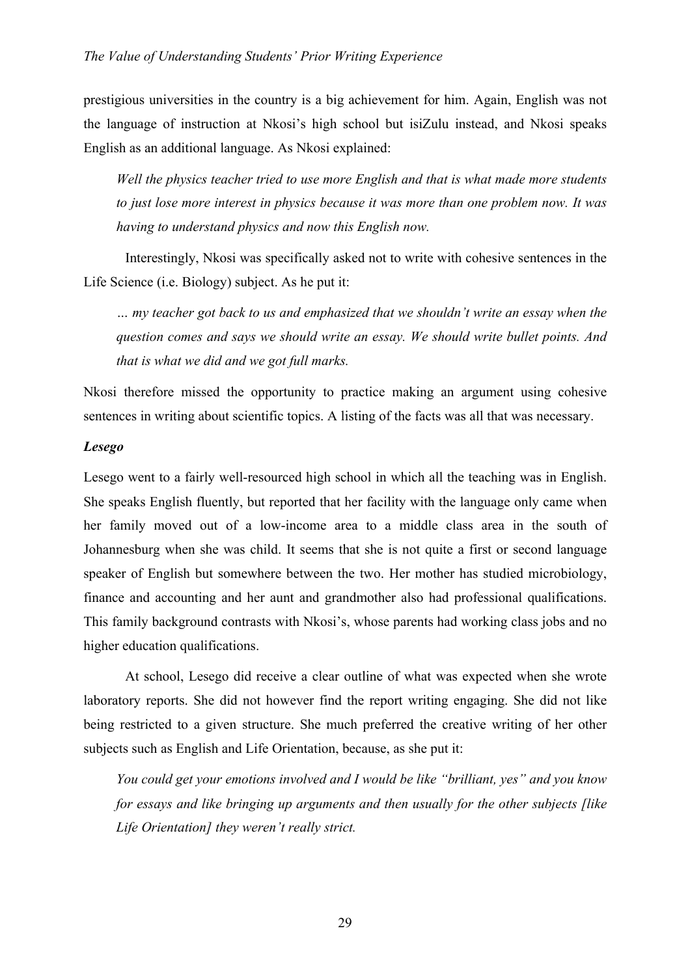prestigious universities in the country is a big achievement for him. Again, English was not the language of instruction at Nkosi's high school but isiZulu instead, and Nkosi speaks English as an additional language. As Nkosi explained:

*Well the physics teacher tried to use more English and that is what made more students to just lose more interest in physics because it was more than one problem now. It was having to understand physics and now this English now.*

Interestingly, Nkosi was specifically asked not to write with cohesive sentences in the Life Science (i.e. Biology) subject. As he put it:

*… my teacher got back to us and emphasized that we shouldn't write an essay when the question comes and says we should write an essay. We should write bullet points. And that is what we did and we got full marks.*

Nkosi therefore missed the opportunity to practice making an argument using cohesive sentences in writing about scientific topics. A listing of the facts was all that was necessary.

## *Lesego*

Lesego went to a fairly well-resourced high school in which all the teaching was in English. She speaks English fluently, but reported that her facility with the language only came when her family moved out of a low-income area to a middle class area in the south of Johannesburg when she was child. It seems that she is not quite a first or second language speaker of English but somewhere between the two. Her mother has studied microbiology, finance and accounting and her aunt and grandmother also had professional qualifications. This family background contrasts with Nkosi's, whose parents had working class jobs and no higher education qualifications.

At school, Lesego did receive a clear outline of what was expected when she wrote laboratory reports. She did not however find the report writing engaging. She did not like being restricted to a given structure. She much preferred the creative writing of her other subjects such as English and Life Orientation, because, as she put it:

*You could get your emotions involved and I would be like "brilliant, yes" and you know for essays and like bringing up arguments and then usually for the other subjects [like Life Orientation] they weren't really strict.*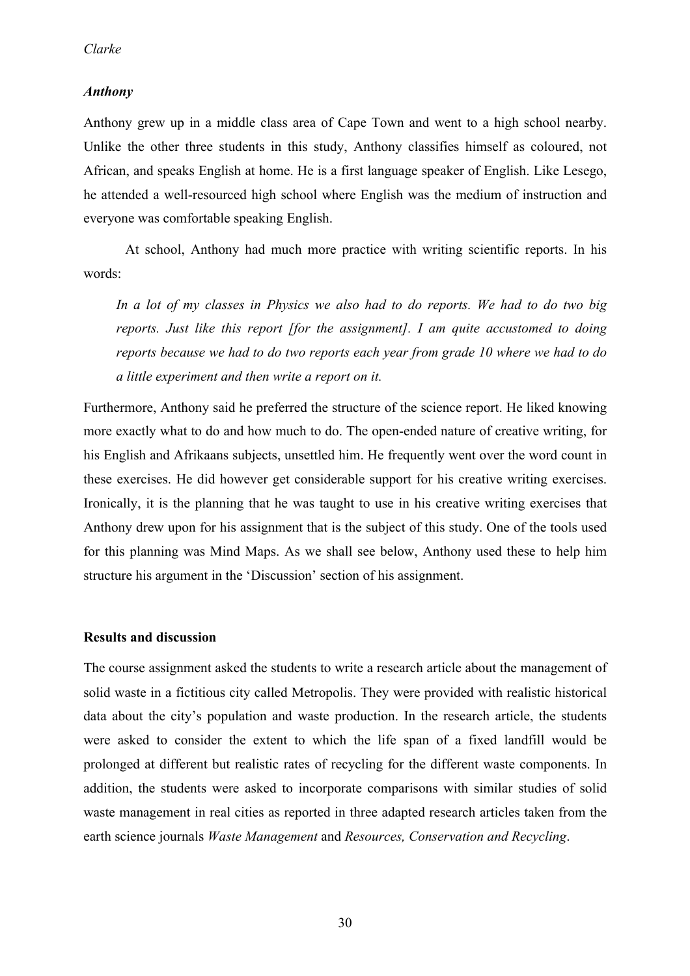## *Anthony*

Anthony grew up in a middle class area of Cape Town and went to a high school nearby. Unlike the other three students in this study, Anthony classifies himself as coloured, not African, and speaks English at home. He is a first language speaker of English. Like Lesego, he attended a well-resourced high school where English was the medium of instruction and everyone was comfortable speaking English.

At school, Anthony had much more practice with writing scientific reports. In his words:

*In a lot of my classes in Physics we also had to do reports. We had to do two big reports. Just like this report [for the assignment]. I am quite accustomed to doing reports because we had to do two reports each year from grade 10 where we had to do a little experiment and then write a report on it.*

Furthermore, Anthony said he preferred the structure of the science report. He liked knowing more exactly what to do and how much to do. The open-ended nature of creative writing, for his English and Afrikaans subjects, unsettled him. He frequently went over the word count in these exercises. He did however get considerable support for his creative writing exercises. Ironically, it is the planning that he was taught to use in his creative writing exercises that Anthony drew upon for his assignment that is the subject of this study. One of the tools used for this planning was Mind Maps. As we shall see below, Anthony used these to help him structure his argument in the 'Discussion' section of his assignment.

## **Results and discussion**

The course assignment asked the students to write a research article about the management of solid waste in a fictitious city called Metropolis. They were provided with realistic historical data about the city's population and waste production. In the research article, the students were asked to consider the extent to which the life span of a fixed landfill would be prolonged at different but realistic rates of recycling for the different waste components. In addition, the students were asked to incorporate comparisons with similar studies of solid waste management in real cities as reported in three adapted research articles taken from the earth science journals *Waste Management* and *Resources, Conservation and Recycling*.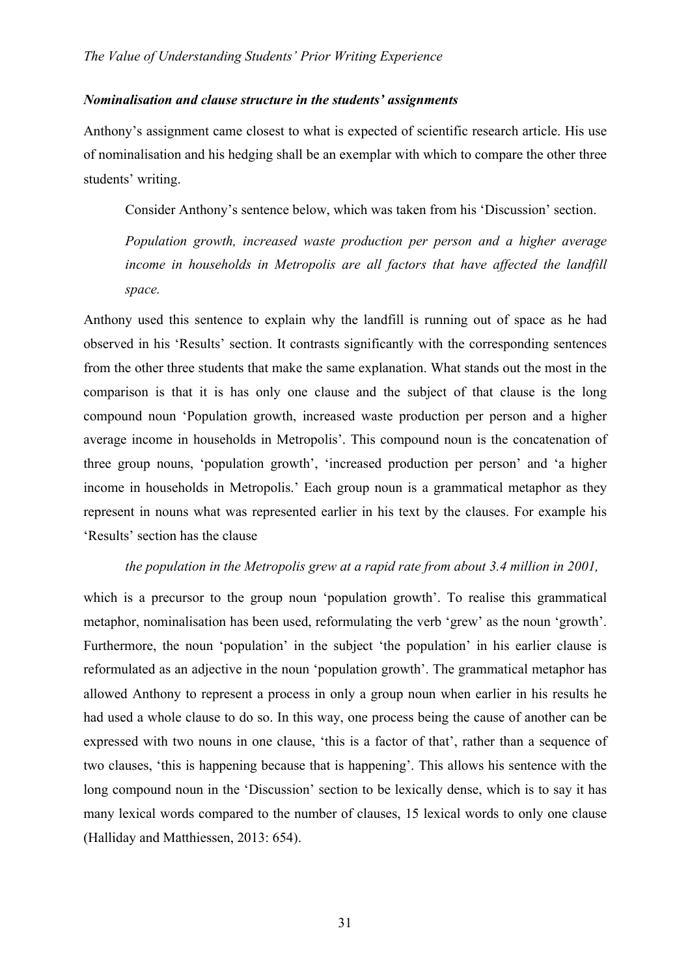## *Nominalisation and clause structure in the students' assignments*

Anthony's assignment came closest to what is expected of scientific research article. His use of nominalisation and his hedging shall be an exemplar with which to compare the other three students' writing.

Consider Anthony's sentence below, which was taken from his 'Discussion' section.

*Population growth, increased waste production per person and a higher average income in households in Metropolis are all factors that have affected the landfill space.*

Anthony used this sentence to explain why the landfill is running out of space as he had observed in his 'Results' section. It contrasts significantly with the corresponding sentences from the other three students that make the same explanation. What stands out the most in the comparison is that it is has only one clause and the subject of that clause is the long compound noun 'Population growth, increased waste production per person and a higher average income in households in Metropolis'. This compound noun is the concatenation of three group nouns, 'population growth', 'increased production per person' and 'a higher income in households in Metropolis.' Each group noun is a grammatical metaphor as they represent in nouns what was represented earlier in his text by the clauses. For example his 'Results' section has the clause

#### *the population in the Metropolis grew at a rapid rate from about 3.4 million in 2001,*

which is a precursor to the group noun 'population growth'. To realise this grammatical metaphor, nominalisation has been used, reformulating the verb 'grew' as the noun 'growth'. Furthermore, the noun 'population' in the subject 'the population' in his earlier clause is reformulated as an adjective in the noun 'population growth'. The grammatical metaphor has allowed Anthony to represent a process in only a group noun when earlier in his results he had used a whole clause to do so. In this way, one process being the cause of another can be expressed with two nouns in one clause, 'this is a factor of that', rather than a sequence of two clauses, 'this is happening because that is happening'. This allows his sentence with the long compound noun in the 'Discussion' section to be lexically dense, which is to say it has many lexical words compared to the number of clauses, 15 lexical words to only one clause (Halliday and Matthiessen, 2013: 654).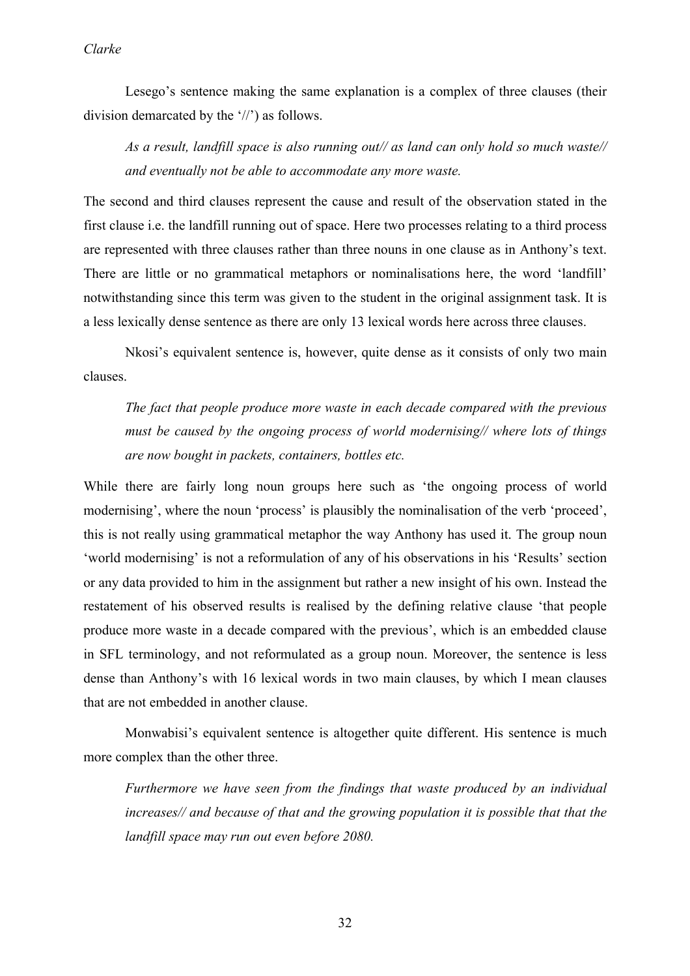Lesego's sentence making the same explanation is a complex of three clauses (their division demarcated by the '//') as follows.

*As a result, landfill space is also running out// as land can only hold so much waste// and eventually not be able to accommodate any more waste.*

The second and third clauses represent the cause and result of the observation stated in the first clause i.e. the landfill running out of space. Here two processes relating to a third process are represented with three clauses rather than three nouns in one clause as in Anthony's text. There are little or no grammatical metaphors or nominalisations here, the word 'landfill' notwithstanding since this term was given to the student in the original assignment task. It is a less lexically dense sentence as there are only 13 lexical words here across three clauses.

Nkosi's equivalent sentence is, however, quite dense as it consists of only two main clauses.

*The fact that people produce more waste in each decade compared with the previous must be caused by the ongoing process of world modernising// where lots of things are now bought in packets, containers, bottles etc.*

While there are fairly long noun groups here such as 'the ongoing process of world modernising', where the noun 'process' is plausibly the nominalisation of the verb 'proceed', this is not really using grammatical metaphor the way Anthony has used it. The group noun 'world modernising' is not a reformulation of any of his observations in his 'Results' section or any data provided to him in the assignment but rather a new insight of his own. Instead the restatement of his observed results is realised by the defining relative clause 'that people produce more waste in a decade compared with the previous', which is an embedded clause in SFL terminology, and not reformulated as a group noun. Moreover, the sentence is less dense than Anthony's with 16 lexical words in two main clauses, by which I mean clauses that are not embedded in another clause.

Monwabisi's equivalent sentence is altogether quite different. His sentence is much more complex than the other three.

*Furthermore we have seen from the findings that waste produced by an individual increases// and because of that and the growing population it is possible that that the landfill space may run out even before 2080.*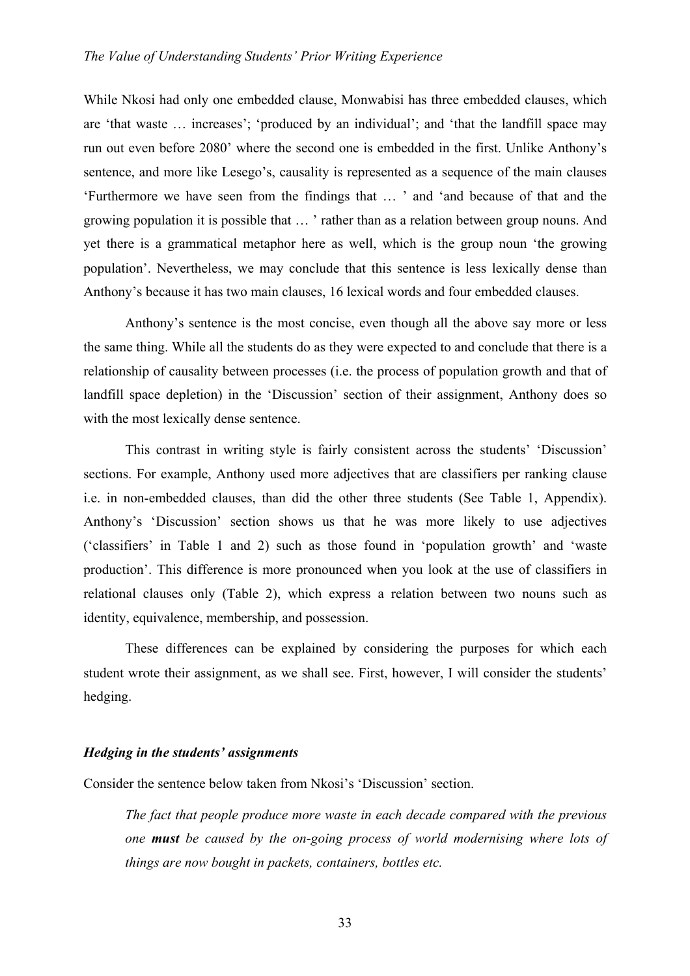While Nkosi had only one embedded clause, Monwabisi has three embedded clauses, which are 'that waste … increases'; 'produced by an individual'; and 'that the landfill space may run out even before 2080' where the second one is embedded in the first. Unlike Anthony's sentence, and more like Lesego's, causality is represented as a sequence of the main clauses 'Furthermore we have seen from the findings that … ' and 'and because of that and the growing population it is possible that … ' rather than as a relation between group nouns. And yet there is a grammatical metaphor here as well, which is the group noun 'the growing population'. Nevertheless, we may conclude that this sentence is less lexically dense than Anthony's because it has two main clauses, 16 lexical words and four embedded clauses.

Anthony's sentence is the most concise, even though all the above say more or less the same thing. While all the students do as they were expected to and conclude that there is a relationship of causality between processes (i.e. the process of population growth and that of landfill space depletion) in the 'Discussion' section of their assignment, Anthony does so with the most lexically dense sentence.

This contrast in writing style is fairly consistent across the students' 'Discussion' sections. For example, Anthony used more adjectives that are classifiers per ranking clause i.e. in non-embedded clauses, than did the other three students (See Table 1, Appendix). Anthony's 'Discussion' section shows us that he was more likely to use adjectives ('classifiers' in Table 1 and 2) such as those found in 'population growth' and 'waste production'. This difference is more pronounced when you look at the use of classifiers in relational clauses only (Table 2), which express a relation between two nouns such as identity, equivalence, membership, and possession.

These differences can be explained by considering the purposes for which each student wrote their assignment, as we shall see. First, however, I will consider the students' hedging.

## *Hedging in the students' assignments*

Consider the sentence below taken from Nkosi's 'Discussion' section.

*The fact that people produce more waste in each decade compared with the previous one must be caused by the on-going process of world modernising where lots of things are now bought in packets, containers, bottles etc.*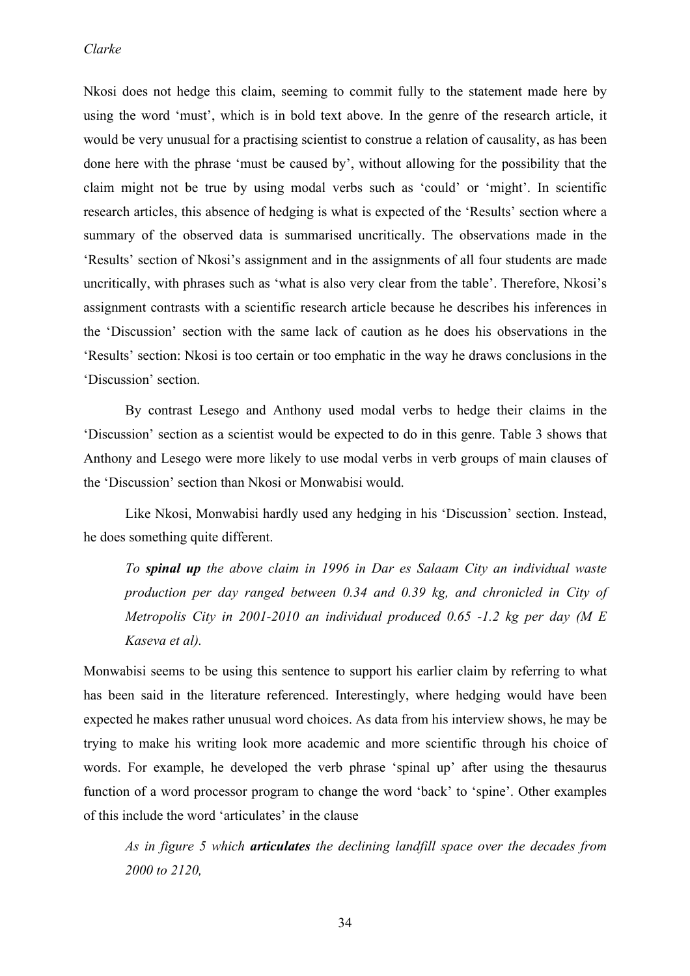Nkosi does not hedge this claim, seeming to commit fully to the statement made here by using the word 'must', which is in bold text above. In the genre of the research article, it would be very unusual for a practising scientist to construe a relation of causality, as has been done here with the phrase 'must be caused by', without allowing for the possibility that the claim might not be true by using modal verbs such as 'could' or 'might'. In scientific research articles, this absence of hedging is what is expected of the 'Results' section where a summary of the observed data is summarised uncritically. The observations made in the 'Results' section of Nkosi's assignment and in the assignments of all four students are made uncritically, with phrases such as 'what is also very clear from the table'. Therefore, Nkosi's assignment contrasts with a scientific research article because he describes his inferences in the 'Discussion' section with the same lack of caution as he does his observations in the 'Results' section: Nkosi is too certain or too emphatic in the way he draws conclusions in the 'Discussion' section.

By contrast Lesego and Anthony used modal verbs to hedge their claims in the 'Discussion' section as a scientist would be expected to do in this genre. Table 3 shows that Anthony and Lesego were more likely to use modal verbs in verb groups of main clauses of the 'Discussion' section than Nkosi or Monwabisi would.

Like Nkosi, Monwabisi hardly used any hedging in his 'Discussion' section. Instead, he does something quite different.

*To spinal up the above claim in 1996 in Dar es Salaam City an individual waste production per day ranged between 0.34 and 0.39 kg, and chronicled in City of Metropolis City in 2001-2010 an individual produced 0.65 -1.2 kg per day (M E Kaseva et al).* 

Monwabisi seems to be using this sentence to support his earlier claim by referring to what has been said in the literature referenced. Interestingly, where hedging would have been expected he makes rather unusual word choices. As data from his interview shows, he may be trying to make his writing look more academic and more scientific through his choice of words. For example, he developed the verb phrase 'spinal up' after using the thesaurus function of a word processor program to change the word 'back' to 'spine'. Other examples of this include the word 'articulates' in the clause

*As in figure 5 which articulates the declining landfill space over the decades from 2000 to 2120,*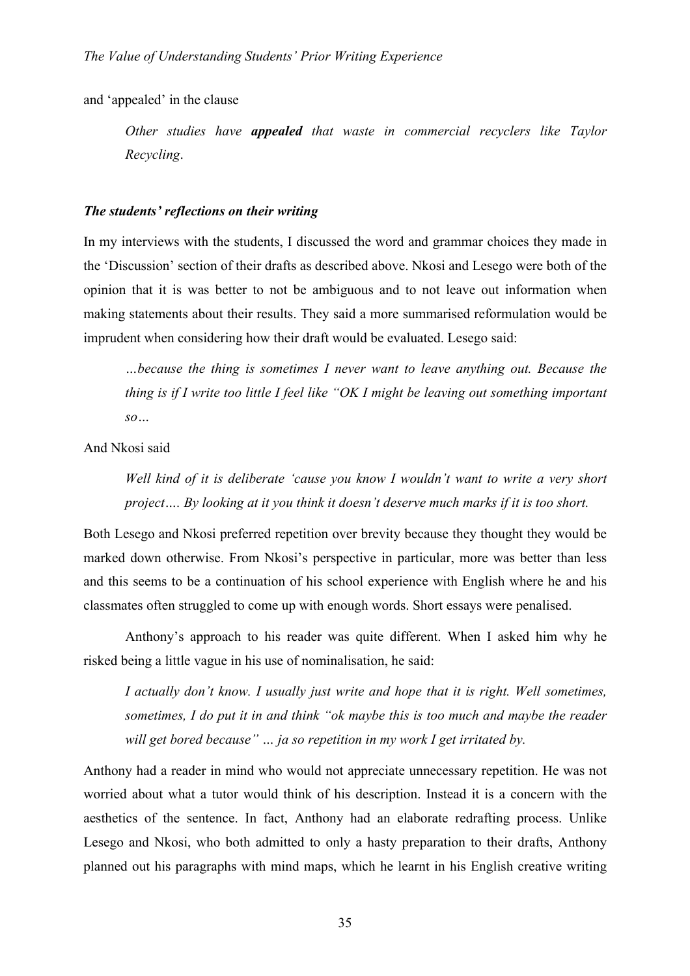and 'appealed' in the clause

*Other studies have appealed that waste in commercial recyclers like Taylor Recycling*.

## *The students' reflections on their writing*

In my interviews with the students, I discussed the word and grammar choices they made in the 'Discussion' section of their drafts as described above. Nkosi and Lesego were both of the opinion that it is was better to not be ambiguous and to not leave out information when making statements about their results. They said a more summarised reformulation would be imprudent when considering how their draft would be evaluated. Lesego said:

*…because the thing is sometimes I never want to leave anything out. Because the thing is if I write too little I feel like "OK I might be leaving out something important so…*

And Nkosi said

*Well kind of it is deliberate 'cause you know I wouldn't want to write a very short project…. By looking at it you think it doesn't deserve much marks if it is too short.*

Both Lesego and Nkosi preferred repetition over brevity because they thought they would be marked down otherwise. From Nkosi's perspective in particular, more was better than less and this seems to be a continuation of his school experience with English where he and his classmates often struggled to come up with enough words. Short essays were penalised.

Anthony's approach to his reader was quite different. When I asked him why he risked being a little vague in his use of nominalisation, he said:

*I actually don't know. I usually just write and hope that it is right. Well sometimes, sometimes, I do put it in and think "ok maybe this is too much and maybe the reader will get bored because" … ja so repetition in my work I get irritated by.*

Anthony had a reader in mind who would not appreciate unnecessary repetition. He was not worried about what a tutor would think of his description. Instead it is a concern with the aesthetics of the sentence. In fact, Anthony had an elaborate redrafting process. Unlike Lesego and Nkosi, who both admitted to only a hasty preparation to their drafts, Anthony planned out his paragraphs with mind maps, which he learnt in his English creative writing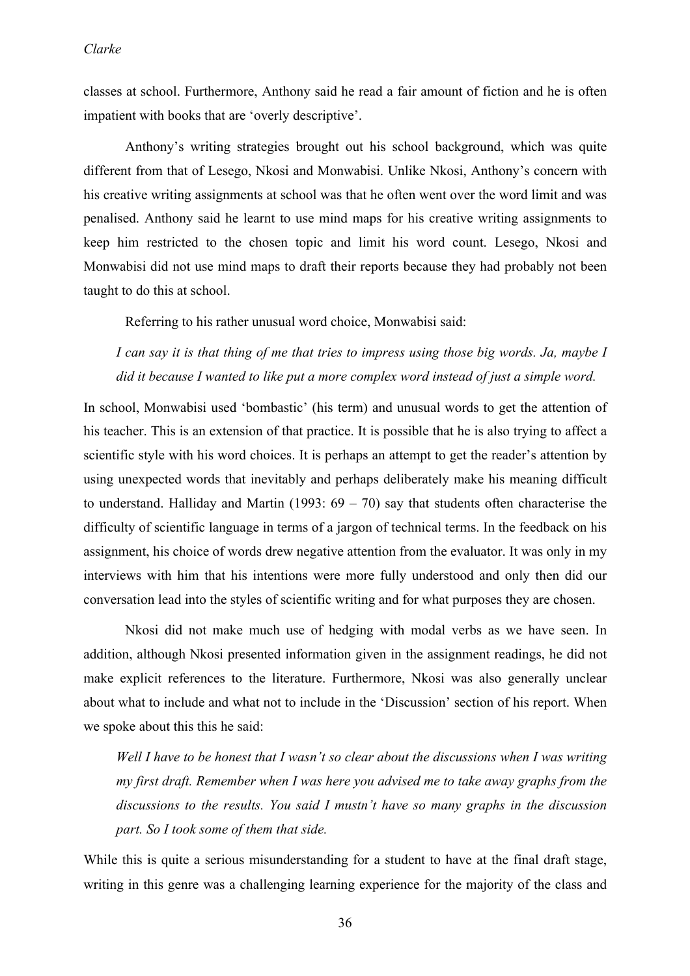## *Clarke*

classes at school. Furthermore, Anthony said he read a fair amount of fiction and he is often impatient with books that are 'overly descriptive'.

Anthony's writing strategies brought out his school background, which was quite different from that of Lesego, Nkosi and Monwabisi. Unlike Nkosi, Anthony's concern with his creative writing assignments at school was that he often went over the word limit and was penalised. Anthony said he learnt to use mind maps for his creative writing assignments to keep him restricted to the chosen topic and limit his word count. Lesego, Nkosi and Monwabisi did not use mind maps to draft their reports because they had probably not been taught to do this at school.

Referring to his rather unusual word choice, Monwabisi said:

*I can say it is that thing of me that tries to impress using those big words. Ja, maybe I did it because I wanted to like put a more complex word instead of just a simple word.*

In school, Monwabisi used 'bombastic' (his term) and unusual words to get the attention of his teacher. This is an extension of that practice. It is possible that he is also trying to affect a scientific style with his word choices. It is perhaps an attempt to get the reader's attention by using unexpected words that inevitably and perhaps deliberately make his meaning difficult to understand. Halliday and Martin (1993:  $69 - 70$ ) say that students often characterise the difficulty of scientific language in terms of a jargon of technical terms. In the feedback on his assignment, his choice of words drew negative attention from the evaluator. It was only in my interviews with him that his intentions were more fully understood and only then did our conversation lead into the styles of scientific writing and for what purposes they are chosen.

Nkosi did not make much use of hedging with modal verbs as we have seen. In addition, although Nkosi presented information given in the assignment readings, he did not make explicit references to the literature. Furthermore, Nkosi was also generally unclear about what to include and what not to include in the 'Discussion' section of his report. When we spoke about this this he said:

*Well I have to be honest that I wasn't so clear about the discussions when I was writing my first draft. Remember when I was here you advised me to take away graphs from the discussions to the results. You said I mustn't have so many graphs in the discussion part. So I took some of them that side.*

While this is quite a serious misunderstanding for a student to have at the final draft stage, writing in this genre was a challenging learning experience for the majority of the class and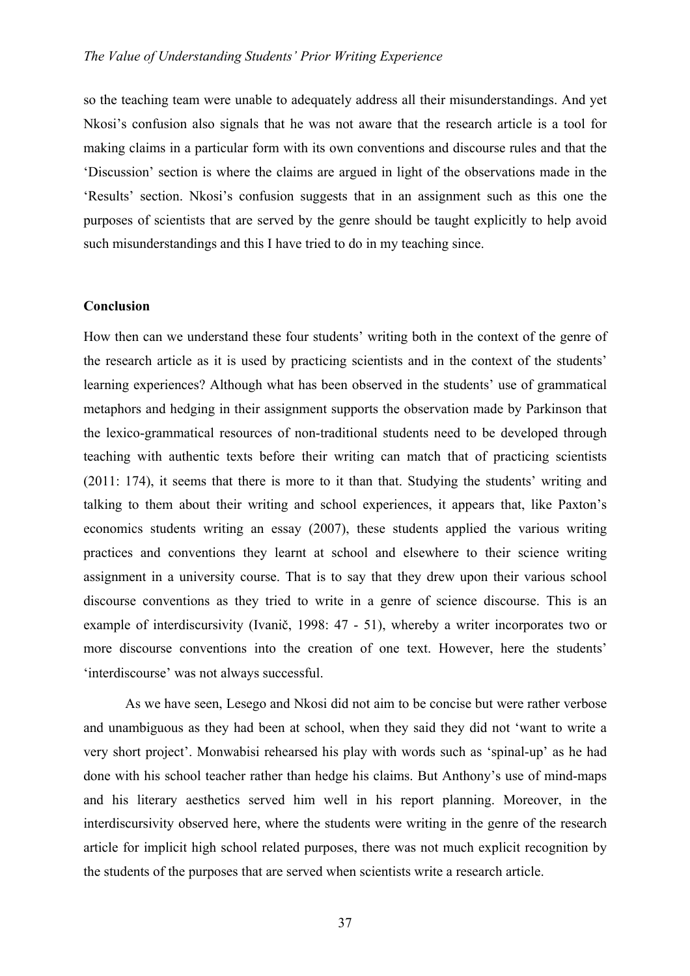so the teaching team were unable to adequately address all their misunderstandings. And yet Nkosi's confusion also signals that he was not aware that the research article is a tool for making claims in a particular form with its own conventions and discourse rules and that the 'Discussion' section is where the claims are argued in light of the observations made in the 'Results' section. Nkosi's confusion suggests that in an assignment such as this one the purposes of scientists that are served by the genre should be taught explicitly to help avoid such misunderstandings and this I have tried to do in my teaching since.

#### **Conclusion**

How then can we understand these four students' writing both in the context of the genre of the research article as it is used by practicing scientists and in the context of the students' learning experiences? Although what has been observed in the students' use of grammatical metaphors and hedging in their assignment supports the observation made by Parkinson that the lexico-grammatical resources of non-traditional students need to be developed through teaching with authentic texts before their writing can match that of practicing scientists (2011: 174), it seems that there is more to it than that. Studying the students' writing and talking to them about their writing and school experiences, it appears that, like Paxton's economics students writing an essay (2007), these students applied the various writing practices and conventions they learnt at school and elsewhere to their science writing assignment in a university course. That is to say that they drew upon their various school discourse conventions as they tried to write in a genre of science discourse. This is an example of interdiscursivity (Ivanič, 1998: 47 - 51), whereby a writer incorporates two or more discourse conventions into the creation of one text. However, here the students' 'interdiscourse' was not always successful.

As we have seen, Lesego and Nkosi did not aim to be concise but were rather verbose and unambiguous as they had been at school, when they said they did not 'want to write a very short project'. Monwabisi rehearsed his play with words such as 'spinal-up' as he had done with his school teacher rather than hedge his claims. But Anthony's use of mind-maps and his literary aesthetics served him well in his report planning. Moreover, in the interdiscursivity observed here, where the students were writing in the genre of the research article for implicit high school related purposes, there was not much explicit recognition by the students of the purposes that are served when scientists write a research article.

37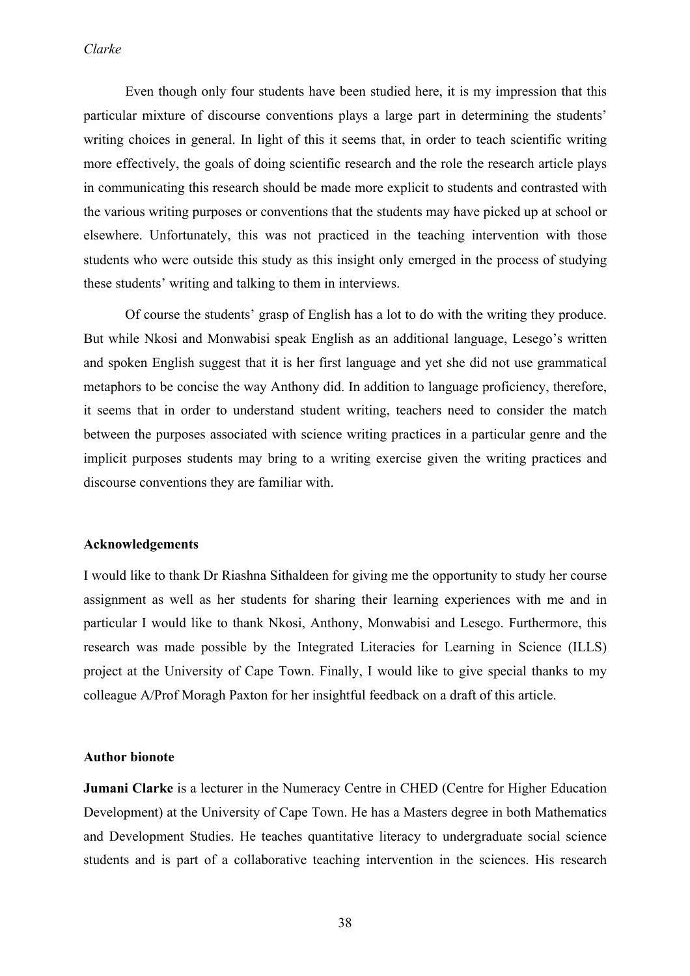Even though only four students have been studied here, it is my impression that this particular mixture of discourse conventions plays a large part in determining the students' writing choices in general. In light of this it seems that, in order to teach scientific writing more effectively, the goals of doing scientific research and the role the research article plays in communicating this research should be made more explicit to students and contrasted with the various writing purposes or conventions that the students may have picked up at school or elsewhere. Unfortunately, this was not practiced in the teaching intervention with those students who were outside this study as this insight only emerged in the process of studying these students' writing and talking to them in interviews.

Of course the students' grasp of English has a lot to do with the writing they produce. But while Nkosi and Monwabisi speak English as an additional language, Lesego's written and spoken English suggest that it is her first language and yet she did not use grammatical metaphors to be concise the way Anthony did. In addition to language proficiency, therefore, it seems that in order to understand student writing, teachers need to consider the match between the purposes associated with science writing practices in a particular genre and the implicit purposes students may bring to a writing exercise given the writing practices and discourse conventions they are familiar with.

#### **Acknowledgements**

I would like to thank Dr Riashna Sithaldeen for giving me the opportunity to study her course assignment as well as her students for sharing their learning experiences with me and in particular I would like to thank Nkosi, Anthony, Monwabisi and Lesego. Furthermore, this research was made possible by the Integrated Literacies for Learning in Science (ILLS) project at the University of Cape Town. Finally, I would like to give special thanks to my colleague A/Prof Moragh Paxton for her insightful feedback on a draft of this article.

## **Author bionote**

**Jumani Clarke** is a lecturer in the Numeracy Centre in CHED (Centre for Higher Education Development) at the University of Cape Town. He has a Masters degree in both Mathematics and Development Studies. He teaches quantitative literacy to undergraduate social science students and is part of a collaborative teaching intervention in the sciences. His research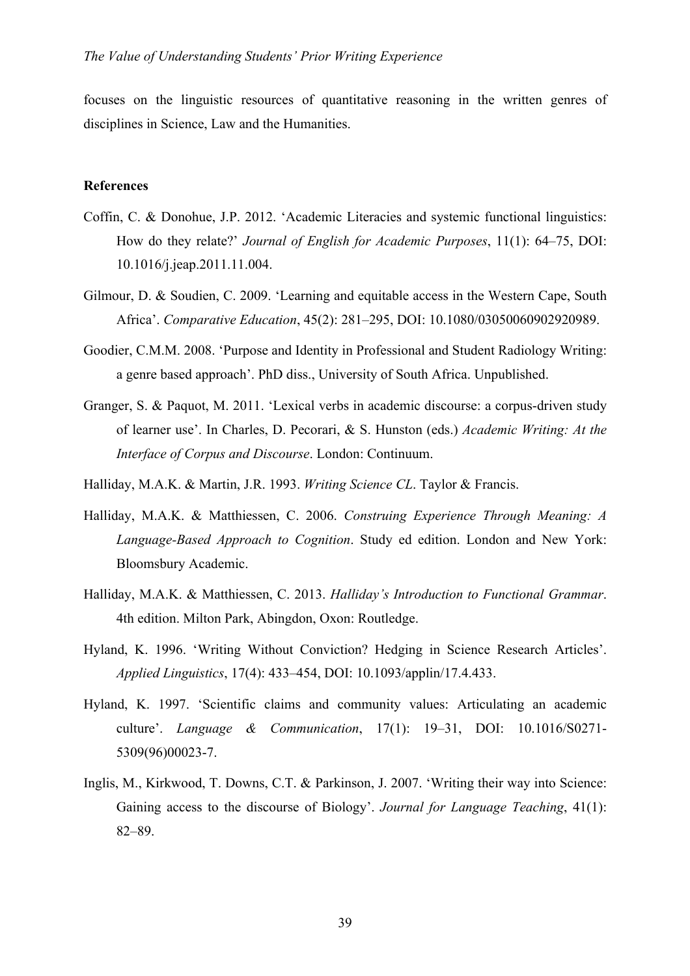focuses on the linguistic resources of quantitative reasoning in the written genres of disciplines in Science, Law and the Humanities.

## **References**

- Coffin, C. & Donohue, J.P. 2012. 'Academic Literacies and systemic functional linguistics: How do they relate?' *Journal of English for Academic Purposes*, 11(1): 64–75, DOI: 10.1016/j.jeap.2011.11.004.
- Gilmour, D. & Soudien, C. 2009. 'Learning and equitable access in the Western Cape, South Africa'. *Comparative Education*, 45(2): 281–295, DOI: 10.1080/03050060902920989.
- Goodier, C.M.M. 2008. 'Purpose and Identity in Professional and Student Radiology Writing: a genre based approach'. PhD diss., University of South Africa. Unpublished.
- Granger, S. & Paquot, M. 2011. 'Lexical verbs in academic discourse: a corpus-driven study of learner use'. In Charles, D. Pecorari, & S. Hunston (eds.) *Academic Writing: At the Interface of Corpus and Discourse*. London: Continuum.
- Halliday, M.A.K. & Martin, J.R. 1993. *Writing Science CL*. Taylor & Francis.
- Halliday, M.A.K. & Matthiessen, C. 2006. *Construing Experience Through Meaning: A Language-Based Approach to Cognition*. Study ed edition. London and New York: Bloomsbury Academic.
- Halliday, M.A.K. & Matthiessen, C. 2013. *Halliday's Introduction to Functional Grammar*. 4th edition. Milton Park, Abingdon, Oxon: Routledge.
- Hyland, K. 1996. 'Writing Without Conviction? Hedging in Science Research Articles'. *Applied Linguistics*, 17(4): 433–454, DOI: 10.1093/applin/17.4.433.
- Hyland, K. 1997. 'Scientific claims and community values: Articulating an academic culture'. *Language & Communication*, 17(1): 19–31, DOI: 10.1016/S0271- 5309(96)00023-7.
- Inglis, M., Kirkwood, T. Downs, C.T. & Parkinson, J. 2007. 'Writing their way into Science: Gaining access to the discourse of Biology'. *Journal for Language Teaching*, 41(1): 82–89.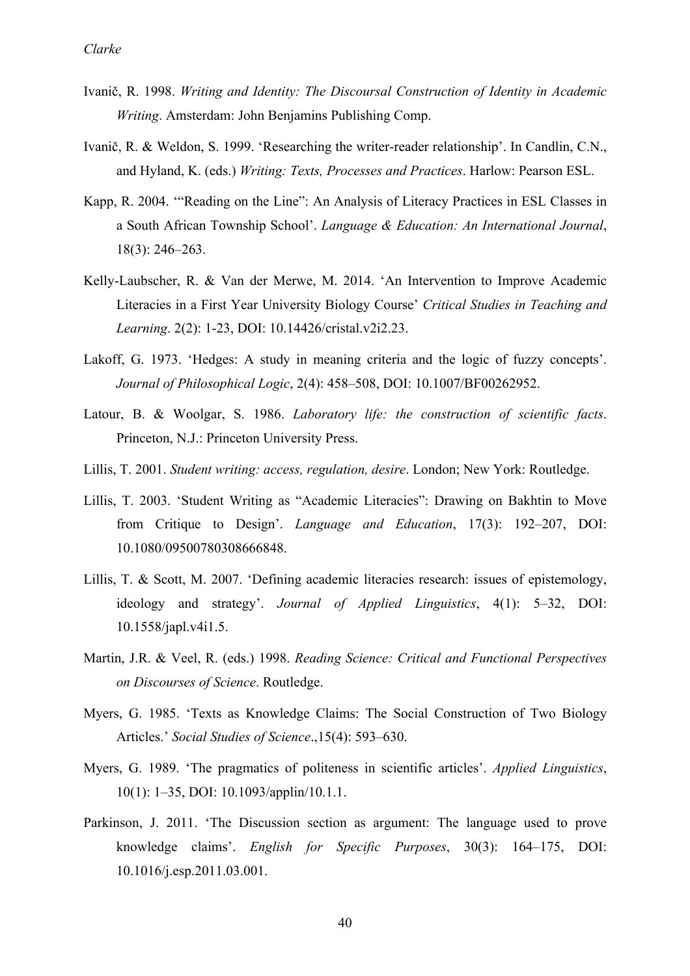- Ivanič, R. 1998. *Writing and Identity: The Discoursal Construction of Identity in Academic Writing*. Amsterdam: John Benjamins Publishing Comp.
- Ivanič, R. & Weldon, S. 1999. 'Researching the writer-reader relationship'. In Candlin, C.N., and Hyland, K. (eds.) *Writing: Texts, Processes and Practices*. Harlow: Pearson ESL.
- Kapp, R. 2004. '"Reading on the Line": An Analysis of Literacy Practices in ESL Classes in a South African Township School'. *Language & Education: An International Journal*, 18(3): 246–263.
- Kelly-Laubscher, R. & Van der Merwe, M. 2014. 'An Intervention to Improve Academic Literacies in a First Year University Biology Course' *Critical Studies in Teaching and Learning*. 2(2): 1-23, DOI: 10.14426/cristal.v2i2.23.
- Lakoff, G. 1973. 'Hedges: A study in meaning criteria and the logic of fuzzy concepts'. *Journal of Philosophical Logic*, 2(4): 458–508, DOI: 10.1007/BF00262952.
- Latour, B. & Woolgar, S. 1986. *Laboratory life: the construction of scientific facts*. Princeton, N.J.: Princeton University Press.
- Lillis, T. 2001. *Student writing: access, regulation, desire*. London; New York: Routledge.
- Lillis, T. 2003. 'Student Writing as "Academic Literacies": Drawing on Bakhtin to Move from Critique to Design'. *Language and Education*, 17(3): 192–207, DOI: 10.1080/09500780308666848.
- Lillis, T. & Scott, M. 2007. 'Defining academic literacies research: issues of epistemology, ideology and strategy'. *Journal of Applied Linguistics*, 4(1): 5–32, DOI: 10.1558/japl.v4i1.5.
- Martin, J.R. & Veel, R. (eds.) 1998. *Reading Science: Critical and Functional Perspectives on Discourses of Science*. Routledge.
- Myers, G. 1985. 'Texts as Knowledge Claims: The Social Construction of Two Biology Articles.' *Social Studies of Science*.,15(4): 593–630.
- Myers, G. 1989. 'The pragmatics of politeness in scientific articles'. *Applied Linguistics*, 10(1): 1–35, DOI: 10.1093/applin/10.1.1.
- Parkinson, J. 2011. 'The Discussion section as argument: The language used to prove knowledge claims'. *English for Specific Purposes*, 30(3): 164–175, DOI: 10.1016/j.esp.2011.03.001.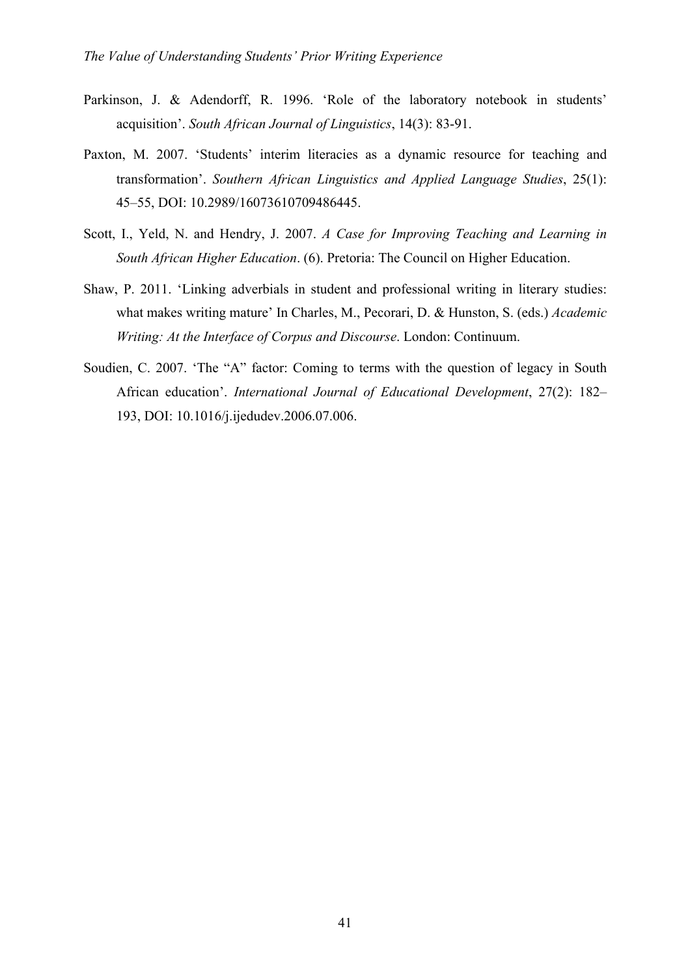- Parkinson, J. & Adendorff, R. 1996. 'Role of the laboratory notebook in students' acquisition'. *South African Journal of Linguistics*, 14(3): 83-91.
- Paxton, M. 2007. 'Students' interim literacies as a dynamic resource for teaching and transformation'. *Southern African Linguistics and Applied Language Studies*, 25(1): 45–55, DOI: 10.2989/16073610709486445.
- Scott, I., Yeld, N. and Hendry, J. 2007. *A Case for Improving Teaching and Learning in South African Higher Education*. (6). Pretoria: The Council on Higher Education.
- Shaw, P. 2011. 'Linking adverbials in student and professional writing in literary studies: what makes writing mature' In Charles, M., Pecorari, D. & Hunston, S. (eds.) *Academic Writing: At the Interface of Corpus and Discourse*. London: Continuum.
- Soudien, C. 2007. 'The "A" factor: Coming to terms with the question of legacy in South African education'. *International Journal of Educational Development*, 27(2): 182– 193, DOI: 10.1016/j.ijedudev.2006.07.006.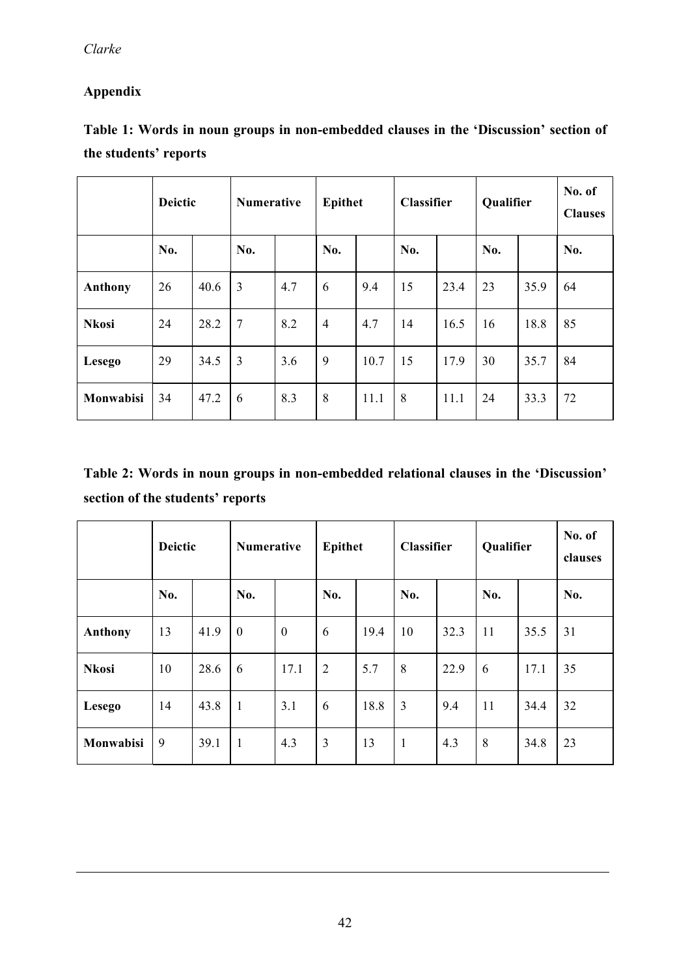# **Appendix**

| Table 1: Words in noun groups in non-embedded clauses in the 'Discussion' section of |  |  |  |
|--------------------------------------------------------------------------------------|--|--|--|
| the students' reports                                                                |  |  |  |

|               | <b>Deictic</b> |      | <b>Numerative</b> |     | <b>Epithet</b> |      | Classifier |      | Qualifier |      | No. of<br><b>Clauses</b> |
|---------------|----------------|------|-------------------|-----|----------------|------|------------|------|-----------|------|--------------------------|
|               | No.            |      | No.               |     | No.            |      | No.        |      | No.       |      | No.                      |
| Anthony       | 26             | 40.6 | 3                 | 4.7 | 6              | 9.4  | 15         | 23.4 | 23        | 35.9 | 64                       |
| <b>Nkosi</b>  | 24             | 28.2 | $7\phantom{.0}$   | 8.2 | $\overline{4}$ | 4.7  | 14         | 16.5 | 16        | 18.8 | 85                       |
| <b>Lesego</b> | 29             | 34.5 | $\overline{3}$    | 3.6 | 9              | 10.7 | 15         | 17.9 | 30        | 35.7 | 84                       |
| Monwabisi     | 34             | 47.2 | 6                 | 8.3 | 8              | 11.1 | 8          | 11.1 | 24        | 33.3 | 72                       |

**Table 2: Words in noun groups in non-embedded relational clauses in the 'Discussion' section of the students' reports**

|               | <b>Deictic</b> |      | Numerative   |                | Epithet        |      | Classifier   |      | Qualifier |      | No. of<br>clauses |
|---------------|----------------|------|--------------|----------------|----------------|------|--------------|------|-----------|------|-------------------|
|               | No.            |      | No.          |                | No.            |      | No.          |      | No.       |      | No.               |
| Anthony       | 13             | 41.9 | $\mathbf{0}$ | $\overline{0}$ | 6              | 19.4 | 10           | 32.3 | 11        | 35.5 | 31                |
| <b>Nkosi</b>  | 10             | 28.6 | 6            | 17.1           | $\overline{2}$ | 5.7  | 8            | 22.9 | 6         | 17.1 | 35                |
| <b>Lesego</b> | 14             | 43.8 | $\mathbf{1}$ | 3.1            | 6              | 18.8 | 3            | 9.4  | 11        | 34.4 | 32                |
| Monwabisi     | 9              | 39.1 | $\mathbf{1}$ | 4.3            | $\overline{3}$ | 13   | $\mathbf{1}$ | 4.3  | 8         | 34.8 | 23                |